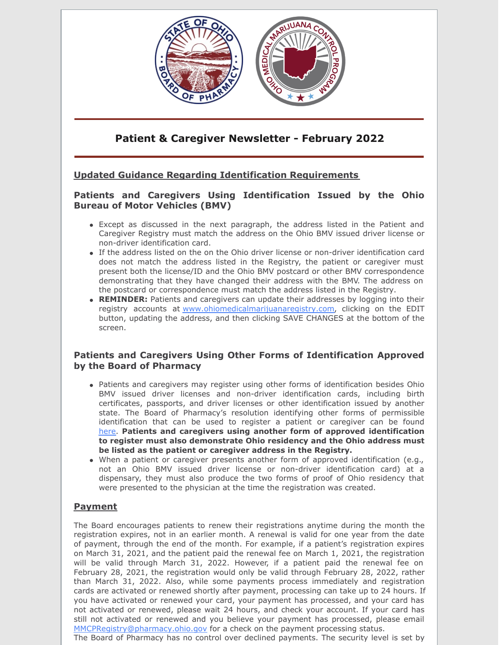

# **Patient & Caregiver Newsletter - February 2022**

# **Updated Guidance Regarding Identification Requirements**

### **Patients and Caregivers Using Identification Issued by the Ohio Bureau of Motor Vehicles (BMV)**

- Except as discussed in the next paragraph, the address listed in the Patient and Caregiver Registry must match the address on the Ohio BMV issued driver license or non-driver identification card.
- If the address listed on the on the Ohio driver license or non-driver identification card does not match the address listed in the Registry, the patient or caregiver must present both the license/ID and the Ohio BMV postcard or other BMV correspondence demonstrating that they have changed their address with the BMV. The address on the postcard or correspondence must match the address listed in the Registry.
- **REMINDER:** Patients and caregivers can update their addresses by logging into their registry accounts at [www.ohiomedicalmarijuanaregistry.com](https://gcc02.safelinks.protection.outlook.com/?url=https%3A%2F%2Fwww.ohiomedicalmarijuanaregistry.com%2F&data=04%7C01%7CPaula.Economus%40pharmacy.ohio.gov%7Ce24f9e404b664d5655c308d9faf98224%7C50f8fcc494d84f0784eb36ed57c7c8a2%7C0%7C0%7C637816771799144021%7CUnknown%7CTWFpbGZsb3d8eyJWIjoiMC4wLjAwMDAiLCJQIjoiV2luMzIiLCJBTiI6Ik1haWwiLCJXVCI6Mn0%3D%7C3000&sdata=sPqjDHEIcEVdi5kK9Snxx25dJac%2BZWxZMoCzIE9AlTU%3D&reserved=0), clicking on the EDIT button, updating the address, and then clicking SAVE CHANGES at the bottom of the screen.

### **Patients and Caregivers Using Other Forms of Identification Approved by the Board of Pharmacy**

- Patients and caregivers may register using other forms of identification besides Ohio BMV issued driver licenses and non-driver identification cards, including birth certificates, passports, and driver licenses or other identification issued by another state. The Board of Pharmacy's resolution identifying other forms of permissible identification that can be used to register a patient or caregiver can be found [here](https://www.medicalmarijuana.ohio.gov/Documents/PatientsCaregivers/PATIENT & CAREGIVER RESOURCES/PATIENT AND CAREGIVER REGISTRY/Other Forms of Identification Approved by the Board of Pharmacy to Demonstrate Ohio Residency.pdf?utm_source=BenchmarkEmail&utm_campaign=CTR_Newsletter_August_2021&utm_medium=email). **Patients and caregivers using another form of approved identification to register must also demonstrate Ohio residency and the Ohio address must be listed as the patient or caregiver address in the Registry.**
- When a patient or caregiver presents another form of approved identification (e.g., not an Ohio BMV issued driver license or non-driver identification card) at a dispensary, they must also produce the two forms of proof of Ohio residency that were presented to the physician at the time the registration was created.

# **Payment**

The Board encourages patients to renew their registrations anytime during the month the registration expires, not in an earlier month. A renewal is valid for one year from the date of payment, through the end of the month. For example, if a patient's registration expires on March 31, 2021, and the patient paid the renewal fee on March 1, 2021, the registration will be valid through March 31, 2022. However, if a patient paid the renewal fee on February 28, 2021, the registration would only be valid through February 28, 2022, rather than March 31, 2022. Also, while some payments process immediately and registration cards are activated or renewed shortly after payment, processing can take up to 24 hours. If you have activated or renewed your card, your payment has processed, and your card has not activated or renewed, please wait 24 hours, and check your account. If your card has still not activated or renewed and you believe your payment has processed, please email [MMCPRegistry@pharmacy.ohio.gov](mailto:MMCPRegistry@pharmacy.ohio.gov) for a check on the payment processing status.

The Board of Pharmacy has no control over declined payments. The security level is set by